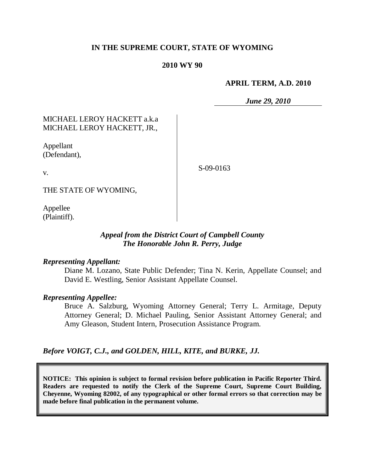## **IN THE SUPREME COURT, STATE OF WYOMING**

### **2010 WY 90**

### **APRIL TERM, A.D. 2010**

*June 29, 2010*

# MICHAEL LEROY HACKETT a.k.a MICHAEL LEROY HACKETT, JR.,

Appellant (Defendant),

v.

S-09-0163

THE STATE OF WYOMING,

Appellee (Plaintiff).

# *Appeal from the District Court of Campbell County The Honorable John R. Perry, Judge*

#### *Representing Appellant:*

Diane M. Lozano, State Public Defender; Tina N. Kerin, Appellate Counsel; and David E. Westling, Senior Assistant Appellate Counsel.

#### *Representing Appellee:*

Bruce A. Salzburg, Wyoming Attorney General; Terry L. Armitage, Deputy Attorney General; D. Michael Pauling, Senior Assistant Attorney General; and Amy Gleason, Student Intern, Prosecution Assistance Program.

*Before VOIGT, C.J., and GOLDEN, HILL, KITE, and BURKE, JJ.*

**NOTICE: This opinion is subject to formal revision before publication in Pacific Reporter Third. Readers are requested to notify the Clerk of the Supreme Court, Supreme Court Building, Cheyenne, Wyoming 82002, of any typographical or other formal errors so that correction may be made before final publication in the permanent volume.**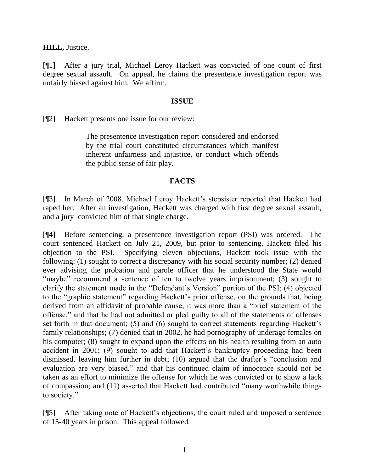**HILL,** Justice.

[¶1] After a jury trial, Michael Leroy Hackett was convicted of one count of first degree sexual assault. On appeal, he claims the presentence investigation report was unfairly biased against him. We affirm.

## **ISSUE**

[¶2] Hackett presents one issue for our review:

The presentence investigation report considered and endorsed by the trial court constituted circumstances which manifest inherent unfairness and injustice, or conduct which offends the public sense of fair play.

## **FACTS**

[¶3] In March of 2008, Michael Leroy Hackett's stepsister reported that Hackett had raped her. After an investigation, Hackett was charged with first degree sexual assault, and a jury convicted him of that single charge.

[¶4] Before sentencing, a presentence investigation report (PSI) was ordered. The court sentenced Hackett on July 21, 2009, but prior to sentencing, Hackett filed his objection to the PSI. Specifying eleven objections, Hackett took issue with the following: (1) sought to correct a discrepancy with his social security number; (2) denied ever advising the probation and parole officer that he understood the State would "maybe" recommend a sentence of ten to twelve years imprisonment; (3) sought to clarify the statement made in the "Defendant's Version" portion of the PSI; (4) objected to the "graphic statement" regarding Hackett's prior offense, on the grounds that, being derived from an affidavit of probable cause, it was more than a "brief statement of the offense," and that he had not admitted or pled guilty to all of the statements of offenses set forth in that document; (5) and (6) sought to correct statements regarding Hackett's family relationships; (7) denied that in 2002, he had pornography of underage females on his computer; (8) sought to expand upon the effects on his health resulting from an auto accident in 2001; (9) sought to add that Hackett's bankruptcy proceeding had been dismissed, leaving him further in debt; (10) argued that the drafter's "conclusion and evaluation are very biased," and that his continued claim of innocence should not be taken as an effort to minimize the offense for which he was convicted or to show a lack of compassion; and (11) asserted that Hackett had contributed "many worthwhile things to society."

[¶5] After taking note of Hackett's objections, the court ruled and imposed a sentence of 15-40 years in prison. This appeal followed.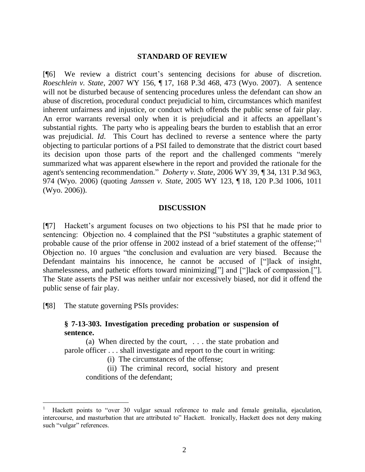#### **STANDARD OF REVIEW**

[¶6] We review a district court's sentencing decisions for abuse of discretion. *Roeschlein v. State*, 2007 WY 156, ¶ 17, 168 P.3d 468, 473 (Wyo. 2007). A sentence will not be disturbed because of sentencing procedures unless the defendant can show an abuse of discretion, procedural conduct prejudicial to him, circumstances which manifest inherent unfairness and injustice, or conduct which offends the public sense of fair play. An error warrants reversal only when it is prejudicial and it affects an appellant's substantial rights. The party who is appealing bears the burden to establish that an error was prejudicial. *Id*. This Court has declined to reverse a sentence where the party objecting to particular portions of a PSI failed to demonstrate that the district court based its decision upon those parts of the report and the challenged comments "merely summarized what was apparent elsewhere in the report and provided the rationale for the agent's sentencing recommendation." *Doherty v. State*, 2006 WY 39, ¶ 34, 131 P.3d 963, 974 (Wyo. 2006) (quoting *Janssen v. State*, 2005 WY 123, ¶ 18, 120 P.3d 1006, 1011 (Wyo. 2006)).

#### **DISCUSSION**

[¶7] Hackett's argument focuses on two objections to his PSI that he made prior to sentencing: Objection no. 4 complained that the PSI "substitutes a graphic statement of probable cause of the prior offense in 2002 instead of a brief statement of the offense;"<sup>1</sup> Objection no. 10 argues "the conclusion and evaluation are very biased. Because the Defendant maintains his innocence, he cannot be accused of ["]lack of insight, shamelessness, and pathetic efforts toward minimizing["] and ["]lack of compassion.["]. The State asserts the PSI was neither unfair nor excessively biased, nor did it offend the public sense of fair play.

[¶8] The statute governing PSIs provides:

 $\overline{a}$ 

## **§ 7-13-303. Investigation preceding probation or suspension of sentence.**

(a) When directed by the court, . . . the state probation and parole officer . . . shall investigate and report to the court in writing:

(i) The circumstances of the offense;

(ii) The criminal record, social history and present conditions of the defendant;

<sup>1</sup> Hackett points to "over 30 vulgar sexual reference to male and female genitalia, ejaculation, intercourse, and masturbation that are attributed to" Hackett. Ironically, Hackett does not deny making such "vulgar" references.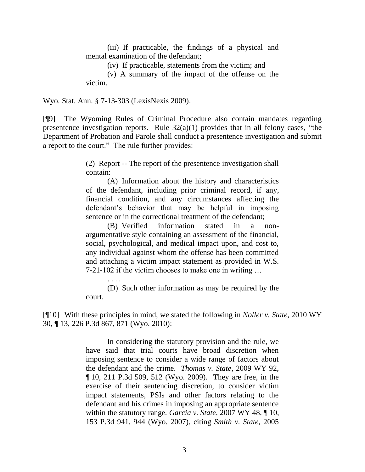(iii) If practicable, the findings of a physical and mental examination of the defendant;

(iv) If practicable, statements from the victim; and

(v) A summary of the impact of the offense on the victim.

Wyo. Stat. Ann. § 7-13-303 (LexisNexis 2009).

. . . .

[¶9] The Wyoming Rules of Criminal Procedure also contain mandates regarding presentence investigation reports. Rule  $32(a)(1)$  provides that in all felony cases, "the Department of Probation and Parole shall conduct a presentence investigation and submit a report to the court." The rule further provides:

> (2) Report -- The report of the presentence investigation shall contain:

> (A) Information about the history and characteristics of the defendant, including prior criminal record, if any, financial condition, and any circumstances affecting the defendant's behavior that may be helpful in imposing sentence or in the correctional treatment of the defendant;

> (B) Verified information stated in a nonargumentative style containing an assessment of the financial, social, psychological, and medical impact upon, and cost to, any individual against whom the offense has been committed and attaching a victim impact statement as provided in W.S. 7-21-102 if the victim chooses to make one in writing …

> (D) Such other information as may be required by the court.

[¶10] With these principles in mind, we stated the following in *Noller v. State,* 2010 WY 30, ¶ 13, 226 P.3d 867, 871 (Wyo. 2010):

> In considering the statutory provision and the rule, we have said that trial courts have broad discretion when imposing sentence to consider a wide range of factors about the defendant and the crime. *Thomas v. State*, 2009 WY 92, ¶ 10, 211 P.3d 509, 512 (Wyo. 2009). They are free, in the exercise of their sentencing discretion, to consider victim impact statements, PSIs and other factors relating to the defendant and his crimes in imposing an appropriate sentence within the statutory range. *Garcia v. State*, 2007 WY 48, ¶ 10, 153 P.3d 941, 944 (Wyo. 2007), citing *Smith v. State*, 2005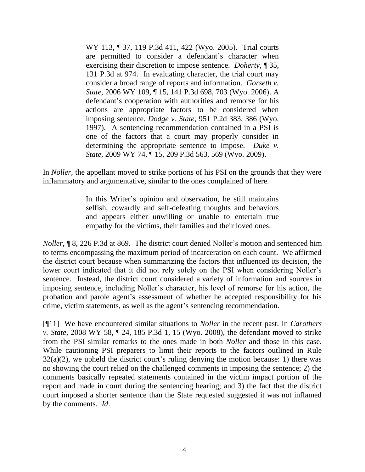WY 113, ¶ 37, 119 P.3d 411, 422 (Wyo. 2005). Trial courts are permitted to consider a defendant's character when exercising their discretion to impose sentence. *Doherty*, ¶ 35, 131 P.3d at 974. In evaluating character, the trial court may consider a broad range of reports and information. *Gorseth v. State*, 2006 WY 109, ¶ 15, 141 P.3d 698, 703 (Wyo. 2006). A defendant's cooperation with authorities and remorse for his actions are appropriate factors to be considered when imposing sentence. *Dodge v. State*, 951 P.2d 383, 386 (Wyo. 1997). A sentencing recommendation contained in a PSI is one of the factors that a court may properly consider in determining the appropriate sentence to impose. *Duke v. State*, 2009 WY 74, ¶ 15, 209 P.3d 563, 569 (Wyo. 2009).

In *Noller,* the appellant moved to strike portions of his PSI on the grounds that they were inflammatory and argumentative, similar to the ones complained of here.

> In this Writer's opinion and observation, he still maintains selfish, cowardly and self-defeating thoughts and behaviors and appears either unwilling or unable to entertain true empathy for the victims, their families and their loved ones.

*Noller*, ¶ 8, 226 P.3d at 869.The district court denied Noller's motion and sentenced him to terms encompassing the maximum period of incarceration on each count. We affirmed the district court because when summarizing the factors that influenced its decision, the lower court indicated that it did not rely solely on the PSI when considering Noller's sentence. Instead, the district court considered a variety of information and sources in imposing sentence, including Noller's character, his level of remorse for his action, the probation and parole agent's assessment of whether he accepted responsibility for his crime, victim statements, as well as the agent's sentencing recommendation.

[¶11] We have encountered similar situations to *Noller* in the recent past. In *Carothers v. State*, 2008 WY 58, ¶ 24, 185 P.3d 1, 15 (Wyo. 2008), the defendant moved to strike from the PSI similar remarks to the ones made in both *Noller* and those in this case. While cautioning PSI preparers to limit their reports to the factors outlined in Rule  $32(a)(2)$ , we upheld the district court's ruling denying the motion because: 1) there was no showing the court relied on the challenged comments in imposing the sentence; 2) the comments basically repeated statements contained in the victim impact portion of the report and made in court during the sentencing hearing; and 3) the fact that the district court imposed a shorter sentence than the State requested suggested it was not inflamed by the comments. *Id*.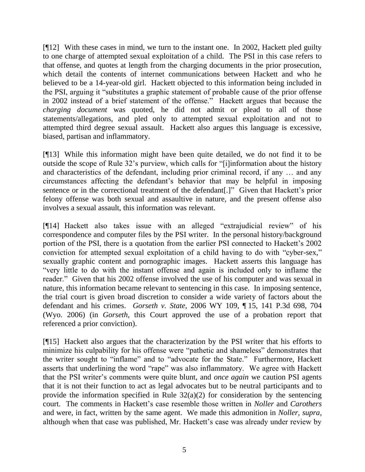[¶12] With these cases in mind, we turn to the instant one. In 2002, Hackett pled guilty to one charge of attempted sexual exploitation of a child. The PSI in this case refers to that offense, and quotes at length from the charging documents in the prior prosecution, which detail the contents of internet communications between Hackett and who he believed to be a 14-year-old girl. Hackett objected to this information being included in the PSI, arguing it "substitutes a graphic statement of probable cause of the prior offense in 2002 instead of a brief statement of the offense." Hackett argues that because the *charging document* was quoted, he did not admit or plead to all of those statements/allegations, and pled only to attempted sexual exploitation and not to attempted third degree sexual assault. Hackett also argues this language is excessive, biased, partisan and inflammatory.

[¶13] While this information might have been quite detailed, we do not find it to be outside the scope of Rule 32's purview, which calls for "[i]information about the history and characteristics of the defendant, including prior criminal record, if any … and any circumstances affecting the defendant's behavior that may be helpful in imposing sentence or in the correctional treatment of the defendant[.]" Given that Hackett's prior felony offense was both sexual and assaultive in nature, and the present offense also involves a sexual assault, this information was relevant.

[¶14] Hackett also takes issue with an alleged "extrajudicial review" of his correspondence and computer files by the PSI writer. In the personal history/background portion of the PSI, there is a quotation from the earlier PSI connected to Hackett's 2002 conviction for attempted sexual exploitation of a child having to do with "cyber-sex," sexually graphic content and pornographic images. Hackett asserts this language has "very little to do with the instant offense and again is included only to inflame the reader." Given that his 2002 offense involved the use of his computer and was sexual in nature, this information became relevant to sentencing in this case. In imposing sentence, the trial court is given broad discretion to consider a wide variety of factors about the defendant and his crimes. *Gorseth v. State*, 2006 WY 109, ¶ 15, 141 P.3d 698, 704 (Wyo. 2006) (in *Gorseth,* this Court approved the use of a probation report that referenced a prior conviction).

[¶15] Hackett also argues that the characterization by the PSI writer that his efforts to minimize his culpability for his offense were "pathetic and shameless" demonstrates that the writer sought to "inflame" and to "advocate for the State." Furthermore, Hackett asserts that underlining the word "rape" was also inflammatory. We agree with Hackett that the PSI writer's comments were quite blunt, and *once again* we caution PSI agents that it is not their function to act as legal advocates but to be neutral participants and to provide the information specified in Rule  $32(a)(2)$  for consideration by the sentencing court. The comments in Hackett's case resemble those written in *Noller* and *Carothers* and were, in fact, written by the same agent. We made this admonition in *Noller, supra,*  although when that case was published, Mr. Hackett's case was already under review by